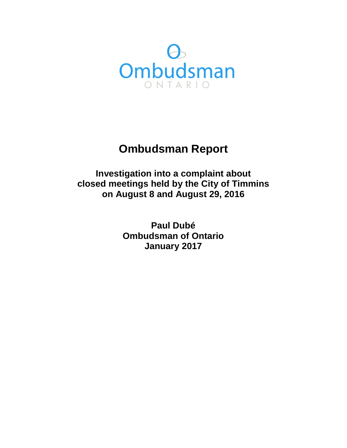

# **Ombudsman Report**

**Investigation into a complaint about closed meetings held by the City of Timmins on August 8 and August 29, 2016** 

> **Paul Dubé Ombudsman of Ontario January 2017**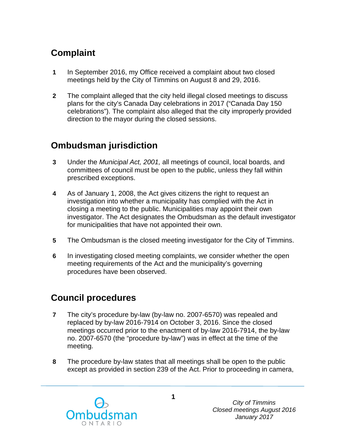## **Complaint**

- **1** In September 2016, my Office received a complaint about two closed meetings held by the City of Timmins on August 8 and 29, 2016.
- **2** The complaint alleged that the city held illegal closed meetings to discuss plans for the city's Canada Day celebrations in 2017 ("Canada Day 150 celebrations"). The complaint also alleged that the city improperly provided direction to the mayor during the closed sessions.

## **Ombudsman jurisdiction**

- **3** Under the *Municipal Act, 2001,* all meetings of council, local boards, and committees of council must be open to the public, unless they fall within prescribed exceptions.
- **4** As of January 1, 2008, the Act gives citizens the right to request an investigation into whether a municipality has complied with the Act in closing a meeting to the public. Municipalities may appoint their own investigator. The Act designates the Ombudsman as the default investigator for municipalities that have not appointed their own.
- **5** The Ombudsman is the closed meeting investigator for the City of Timmins.
- **6** In investigating closed meeting complaints, we consider whether the open meeting requirements of the Act and the municipality's governing procedures have been observed.

## **Council procedures**

- **7** The city's procedure by-law (by-law no. 2007-6570) was repealed and replaced by by-law 2016-7914 on October 3, 2016. Since the closed meetings occurred prior to the enactment of by-law 2016-7914, the by-law no. 2007-6570 (the "procedure by-law") was in effect at the time of the meeting.
- **8** The procedure by-law states that all meetings shall be open to the public except as provided in section 239 of the Act. Prior to proceeding in camera,

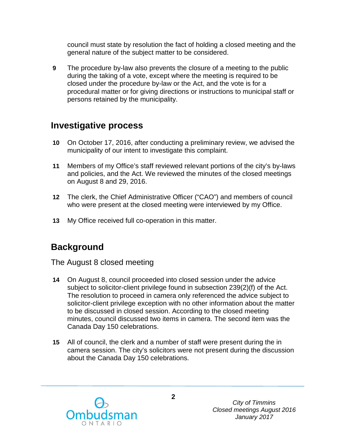council must state by resolution the fact of holding a closed meeting and the general nature of the subject matter to be considered.

**9** The procedure by-law also prevents the closure of a meeting to the public during the taking of a vote, except where the meeting is required to be closed under the procedure by-law or the Act, and the vote is for a procedural matter or for giving directions or instructions to municipal staff or persons retained by the municipality.

### **Investigative process**

- **10** On October 17, 2016, after conducting a preliminary review, we advised the municipality of our intent to investigate this complaint.
- **11** Members of my Office's staff reviewed relevant portions of the city's by-laws and policies, and the Act. We reviewed the minutes of the closed meetings on August 8 and 29, 2016.
- **12** The clerk, the Chief Administrative Officer ("CAO") and members of council who were present at the closed meeting were interviewed by my Office.
- **13** My Office received full co-operation in this matter.

### **Background**

#### The August 8 closed meeting

- **14** On August 8, council proceeded into closed session under the advice subject to solicitor-client privilege found in subsection 239(2)(f) of the Act. The resolution to proceed in camera only referenced the advice subject to solicitor-client privilege exception with no other information about the matter to be discussed in closed session. According to the closed meeting minutes, council discussed two items in camera. The second item was the Canada Day 150 celebrations.
- **15** All of council, the clerk and a number of staff were present during the in camera session. The city's solicitors were not present during the discussion about the Canada Day 150 celebrations.

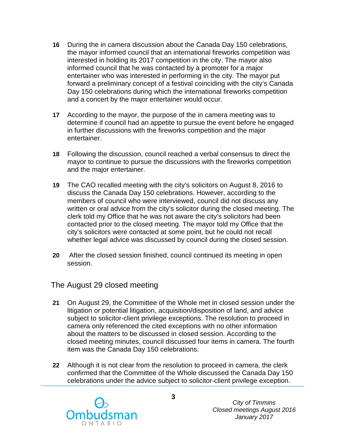- **16** During the in camera discussion about the Canada Day 150 celebrations, the mayor informed council that an international fireworks competition was interested in holding its 2017 competition in the city. The mayor also informed council that he was contacted by a promoter for a major entertainer who was interested in performing in the city. The mayor put forward a preliminary concept of a festival coinciding with the city's Canada Day 150 celebrations during which the international fireworks competition and a concert by the major entertainer would occur.
- **17** According to the mayor, the purpose of the in camera meeting was to determine if council had an appetite to pursue the event before he engaged in further discussions with the fireworks competition and the major entertainer.
- **18** Following the discussion, council reached a verbal consensus to direct the mayor to continue to pursue the discussions with the fireworks competition and the major entertainer.
- **19** The CAO recalled meeting with the city's solicitors on August 8, 2016 to discuss the Canada Day 150 celebrations. However, according to the members of council who were interviewed, council did not discuss any written or oral advice from the city's solicitor during the closed meeting. The clerk told my Office that he was not aware the city's solicitors had been contacted prior to the closed meeting. The mayor told my Office that the city's solicitors were contacted at some point, but he could not recall whether legal advice was discussed by council during the closed session.
- **20** After the closed session finished, council continued its meeting in open session.

#### The August 29 closed meeting

- **21** On August 29, the Committee of the Whole met in closed session under the litigation or potential litigation, acquisition/disposition of land, and advice subject to solicitor-client privilege exceptions. The resolution to proceed in camera only referenced the cited exceptions with no other information about the matters to be discussed in closed session. According to the closed meeting minutes, council discussed four items in camera. The fourth item was the Canada Day 150 celebrations.
- **22** Although it is not clear from the resolution to proceed in camera, the clerk confirmed that the Committee of the Whole discussed the Canada Day 150 celebrations under the advice subject to solicitor-client privilege exception.

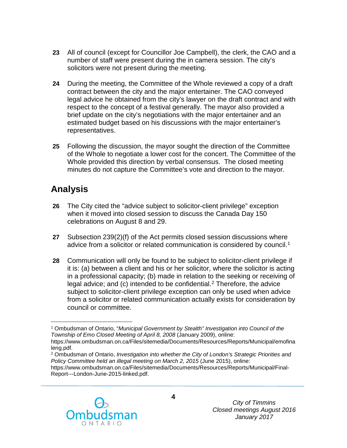- **23** All of council (except for Councillor Joe Campbell), the clerk, the CAO and a number of staff were present during the in camera session. The city's solicitors were not present during the meeting.
- **24** During the meeting, the Committee of the Whole reviewed a copy of a draft contract between the city and the major entertainer. The CAO conveyed legal advice he obtained from the city's lawyer on the draft contract and with respect to the concept of a festival generally. The mayor also provided a brief update on the city's negotiations with the major entertainer and an estimated budget based on his discussions with the major entertainer's representatives.
- **25** Following the discussion, the mayor sought the direction of the Committee of the Whole to negotiate a lower cost for the concert. The Committee of the Whole provided this direction by verbal consensus. The closed meeting minutes do not capture the Committee's vote and direction to the mayor.

## **Analysis**

- **26** The City cited the "advice subject to solicitor-client privilege" exception when it moved into closed session to discuss the Canada Day 150 celebrations on August 8 and 29.
- **27** Subsection 239(2)(f) of the Act permits closed session discussions where advice from a solicitor or related communication is considered by council.<sup>[1](#page-4-0)</sup>
- **28** Communication will only be found to be subject to solicitor-client privilege if it is: (a) between a client and his or her solicitor, where the solicitor is acting in a professional capacity; (b) made in relation to the seeking or receiving of legal advice; and  $(c)$  intended to be confidential.<sup>[2](#page-4-1)</sup> Therefore, the advice subject to solicitor-client privilege exception can only be used when advice from a solicitor or related communication actually exists for consideration by council or committee.

https://www.ombudsman.on.ca/Files/sitemedia/Documents/Resources/Reports/Municipal/Final-Report---London-June-2015-linked.pdf.



<span id="page-4-0"></span> $\overline{a}$ <sup>1</sup> Ombudsman of Ontario, "*Municipal Government by Stealth" Investigation into Council of the Township of Emo Closed Meeting of April 8, 2008* (January 2009), online: https://www.ombudsman.on.ca/Files/sitemedia/Documents/Resources/Reports/Municipal/emofina

<span id="page-4-1"></span>leng.pdf. <sup>2</sup> Ombudsman of Ontario, *Investigation into whether the City of London's Strategic Priorities and Policy Committee held an illegal meeting on March 2, 2015* (June 2015), online: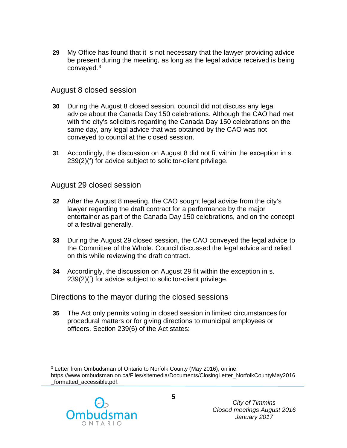**29** My Office has found that it is not necessary that the lawyer providing advice be present during the meeting, as long as the legal advice received is being conveyed.[3](#page-5-0)

#### August 8 closed session

- **30** During the August 8 closed session, council did not discuss any legal advice about the Canada Day 150 celebrations. Although the CAO had met with the city's solicitors regarding the Canada Day 150 celebrations on the same day, any legal advice that was obtained by the CAO was not conveyed to council at the closed session.
- **31** Accordingly, the discussion on August 8 did not fit within the exception in s. 239(2)(f) for advice subject to solicitor-client privilege.

#### August 29 closed session

- **32** After the August 8 meeting, the CAO sought legal advice from the city's lawyer regarding the draft contract for a performance by the major entertainer as part of the Canada Day 150 celebrations, and on the concept of a festival generally.
- **33** During the August 29 closed session, the CAO conveyed the legal advice to the Committee of the Whole. Council discussed the legal advice and relied on this while reviewing the draft contract.
- **34** Accordingly, the discussion on August 29 fit within the exception in s. 239(2)(f) for advice subject to solicitor-client privilege.

### Directions to the mayor during the closed sessions

**35** The Act only permits voting in closed session in limited circumstances for procedural matters or for giving directions to municipal employees or officers. Section 239(6) of the Act states:

<span id="page-5-0"></span> $\overline{a}$ <sup>3</sup> Letter from Ombudsman of Ontario to Norfolk County (May 2016), online: https://www.ombudsman.on.ca/Files/sitemedia/Documents/ClosingLetter\_NorfolkCountyMay2016 \_formatted\_accessible.pdf.

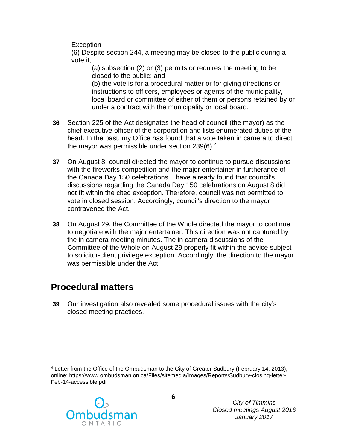**Exception** 

(6) Despite section 244, a meeting may be closed to the public during a vote if,

(a) subsection (2) or (3) permits or requires the meeting to be closed to the public; and

(b) the vote is for a procedural matter or for giving directions or instructions to officers, employees or agents of the municipality, local board or committee of either of them or persons retained by or under a contract with the municipality or local board.

- **36** Section 225 of the Act designates the head of council (the mayor) as the chief executive officer of the corporation and lists enumerated duties of the head. In the past, my Office has found that a vote taken in camera to direct the mayor was permissible under section  $239(6).4$
- **37** On August 8, council directed the mayor to continue to pursue discussions with the fireworks competition and the major entertainer in furtherance of the Canada Day 150 celebrations. I have already found that council's discussions regarding the Canada Day 150 celebrations on August 8 did not fit within the cited exception. Therefore, council was not permitted to vote in closed session. Accordingly, council's direction to the mayor contravened the Act.
- **38** On August 29, the Committee of the Whole directed the mayor to continue to negotiate with the major entertainer. This direction was not captured by the in camera meeting minutes. The in camera discussions of the Committee of the Whole on August 29 properly fit within the advice subject to solicitor-client privilege exception. Accordingly, the direction to the mayor was permissible under the Act.

## **Procedural matters**

**39** Our investigation also revealed some procedural issues with the city's closed meeting practices.

<span id="page-6-0"></span> $\overline{a}$ <sup>4</sup> Letter from the Office of the Ombudsman to the City of Greater Sudbury (February 14, 2013), online: https://www.ombudsman.on.ca/Files/sitemedia/Images/Reports/Sudbury-closing-letter-Feb-14-accessible.pdf

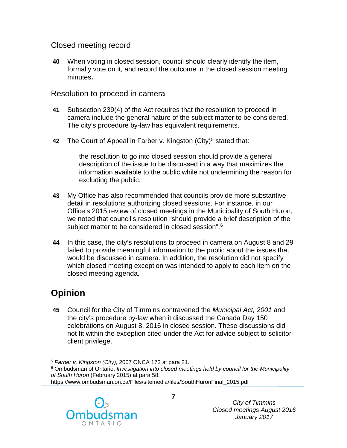### Closed meeting record

**40** When voting in closed session, council should clearly identify the item, formally vote on it, and record the outcome in the closed session meeting minutes**.** 

#### Resolution to proceed in camera

- **41** Subsection 239(4) of the Act requires that the resolution to proceed in camera include the general nature of the subject matter to be considered. The city's procedure by-law has equivalent requirements.
- **42** The Court of Appeal in Farber v. Kingston (City)<sup>[5](#page-7-0)</sup> stated that:

the resolution to go into closed session should provide a general description of the issue to be discussed in a way that maximizes the information available to the public while not undermining the reason for excluding the public.

- **43** My Office has also recommended that councils provide more substantive detail in resolutions authorizing closed sessions. For instance, in our Office's 2015 review of closed meetings in the Municipality of South Huron, we noted that council's resolution "should provide a brief description of the subject matter to be considered in closed session".<sup>[6](#page-7-1)</sup>
- **44** In this case, the city's resolutions to proceed in camera on August 8 and 29 failed to provide meaningful information to the public about the issues that would be discussed in camera. In addition, the resolution did not specify which closed meeting exception was intended to apply to each item on the closed meeting agenda.

## **Opinion**

**45** Council for the City of Timmins contravened the *Municipal Act, 2001* and the city's procedure by-law when it discussed the Canada Day 150 celebrations on August 8, 2016 in closed session. These discussions did not fit within the exception cited under the Act for advice subject to solicitorclient privilege.

https://www.ombudsman.on.ca/Files/sitemedia/files/SouthHuronFinal\_2015.pdf



 $\overline{a}$ <sup>5</sup> *Farber v. Kingston (City),* 2007 ONCA 173 at para 21.

<span id="page-7-1"></span><span id="page-7-0"></span><sup>6</sup> Ombudsman of Ontario, *Investigation into closed meetings held by council for the Municipality of South Huron* (February 2015) at para 58,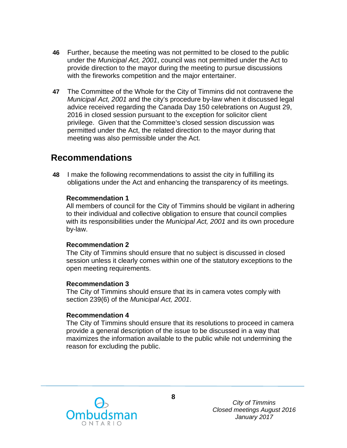- **46** Further, because the meeting was not permitted to be closed to the public under the *Municipal Act, 2001*, council was not permitted under the Act to provide direction to the mayor during the meeting to pursue discussions with the fireworks competition and the major entertainer.
- **47** The Committee of the Whole for the City of Timmins did not contravene the *Municipal Act, 2001* and the city's procedure by-law when it discussed legal advice received regarding the Canada Day 150 celebrations on August 29, 2016 in closed session pursuant to the exception for solicitor client privilege. Given that the Committee's closed session discussion was permitted under the Act, the related direction to the mayor during that meeting was also permissible under the Act.

### **Recommendations**

**48** I make the following recommendations to assist the city in fulfilling its obligations under the Act and enhancing the transparency of its meetings.

#### **Recommendation 1**

All members of council for the City of Timmins should be vigilant in adhering to their individual and collective obligation to ensure that council complies with its responsibilities under the *Municipal Act, 2001* and its own procedure by-law.

#### **Recommendation 2**

The City of Timmins should ensure that no subject is discussed in closed session unless it clearly comes within one of the statutory exceptions to the open meeting requirements.

#### **Recommendation 3**

The City of Timmins should ensure that its in camera votes comply with section 239(6) of the *Municipal Act, 2001*.

#### **Recommendation 4**

The City of Timmins should ensure that its resolutions to proceed in camera provide a general description of the issue to be discussed in a way that maximizes the information available to the public while not undermining the reason for excluding the public.